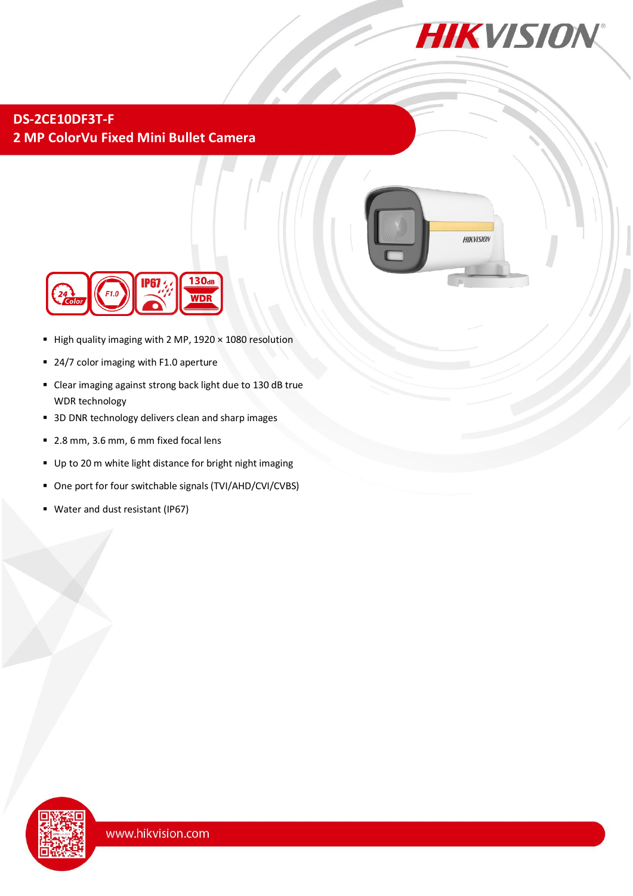

## **DS-2CE10DF3T-F 2 MP ColorVu Fixed Mini Bullet Camera**





- $\blacksquare$  High quality imaging with 2 MP, 1920  $\times$  1080 resolution
- 24/7 color imaging with F1.0 aperture
- Clear imaging against strong back light due to 130 dB true WDR technology
- 3D DNR technology delivers clean and sharp images
- 2.8 mm, 3.6 mm, 6 mm fixed focal lens
- Up to 20 m white light distance for bright night imaging
- One port for four switchable signals (TVI/AHD/CVI/CVBS)
- Water and dust resistant (IP67)

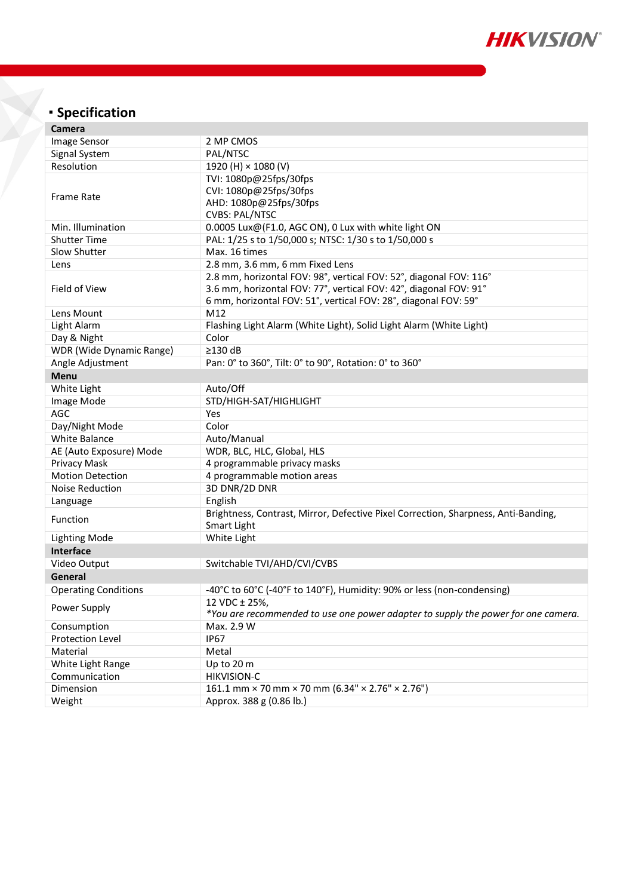

# **Specification**

| Camera                          |                                                                                                                                                                                                            |
|---------------------------------|------------------------------------------------------------------------------------------------------------------------------------------------------------------------------------------------------------|
| Image Sensor                    | 2 MP CMOS                                                                                                                                                                                                  |
| Signal System                   | PAL/NTSC                                                                                                                                                                                                   |
| Resolution                      | 1920 (H) × 1080 (V)                                                                                                                                                                                        |
| <b>Frame Rate</b>               | TVI: 1080p@25fps/30fps<br>CVI: 1080p@25fps/30fps<br>AHD: 1080p@25fps/30fps<br><b>CVBS: PAL/NTSC</b>                                                                                                        |
| Min. Illumination               | 0.0005 Lux@(F1.0, AGC ON), 0 Lux with white light ON                                                                                                                                                       |
| <b>Shutter Time</b>             | PAL: 1/25 s to 1/50,000 s; NTSC: 1/30 s to 1/50,000 s                                                                                                                                                      |
| Slow Shutter                    | Max. 16 times                                                                                                                                                                                              |
| Lens                            | 2.8 mm, 3.6 mm, 6 mm Fixed Lens                                                                                                                                                                            |
| Field of View                   | 2.8 mm, horizontal FOV: 98°, vertical FOV: 52°, diagonal FOV: 116°<br>3.6 mm, horizontal FOV: 77°, vertical FOV: 42°, diagonal FOV: 91°<br>6 mm, horizontal FOV: 51°, vertical FOV: 28°, diagonal FOV: 59° |
| Lens Mount                      | M12                                                                                                                                                                                                        |
| Light Alarm                     | Flashing Light Alarm (White Light), Solid Light Alarm (White Light)                                                                                                                                        |
| Day & Night                     | Color                                                                                                                                                                                                      |
| <b>WDR</b> (Wide Dynamic Range) | $\geq$ 130 dB                                                                                                                                                                                              |
| Angle Adjustment                | Pan: 0° to 360°, Tilt: 0° to 90°, Rotation: 0° to 360°                                                                                                                                                     |
| Menu                            |                                                                                                                                                                                                            |
| White Light                     | Auto/Off                                                                                                                                                                                                   |
| Image Mode                      | STD/HIGH-SAT/HIGHLIGHT                                                                                                                                                                                     |
| AGC                             | Yes                                                                                                                                                                                                        |
| Day/Night Mode                  | Color                                                                                                                                                                                                      |
| <b>White Balance</b>            | Auto/Manual                                                                                                                                                                                                |
| AE (Auto Exposure) Mode         | WDR, BLC, HLC, Global, HLS                                                                                                                                                                                 |
| Privacy Mask                    | 4 programmable privacy masks                                                                                                                                                                               |
| <b>Motion Detection</b>         | 4 programmable motion areas                                                                                                                                                                                |
| <b>Noise Reduction</b>          | 3D DNR/2D DNR                                                                                                                                                                                              |
| Language                        | English                                                                                                                                                                                                    |
| Function                        | Brightness, Contrast, Mirror, Defective Pixel Correction, Sharpness, Anti-Banding,<br>Smart Light                                                                                                          |
| <b>Lighting Mode</b>            | White Light                                                                                                                                                                                                |
| Interface                       |                                                                                                                                                                                                            |
| Video Output                    | Switchable TVI/AHD/CVI/CVBS                                                                                                                                                                                |
| General                         |                                                                                                                                                                                                            |
| <b>Operating Conditions</b>     | -40°C to 60°C (-40°F to 140°F), Humidity: 90% or less (non-condensing)                                                                                                                                     |
| Power Supply                    | 12 VDC ± 25%,<br>*You are recommended to use one power adapter to supply the power for one camera.                                                                                                         |
| Consumption                     | Max. 2.9 W                                                                                                                                                                                                 |
| Protection Level                | <b>IP67</b>                                                                                                                                                                                                |
| Material                        | Metal                                                                                                                                                                                                      |
| White Light Range               | Up to 20 m                                                                                                                                                                                                 |
| Communication                   | <b>HIKVISION-C</b>                                                                                                                                                                                         |
| Dimension                       | 161.1 mm × 70 mm × 70 mm (6.34" × 2.76" × 2.76")                                                                                                                                                           |
| Weight                          | Approx. 388 g (0.86 lb.)                                                                                                                                                                                   |